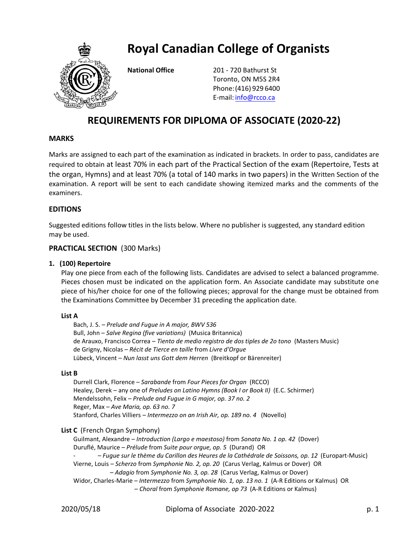

**Royal Canadian College of Organists**

**National Office** 201 - 720 Bathurst St Toronto, ON M5S 2R4 Phone:(416) 929 6400 E-mail: [info@rcco.ca](file:///C:/Users/Lorne/Downloads/RCCO/Website/2017-2019%20exams/info@rcco.ca)

# **REQUIREMENTS FOR DIPLOMA OF ASSOCIATE (2020-22)**

# **MARKS**

Marks are assigned to each part of the examination as indicated in brackets. In order to pass, candidates are required to obtain at least 70% in each part of the Practical Section of the exam (Repertoire, Tests at the organ, Hymns) and at least 70% (a total of 140 marks in two papers) in the Written Section of the examination. A report will be sent to each candidate showing itemized marks and the comments of the examiners.

# **EDITIONS**

Suggested editions follow titles in the lists below. Where no publisher is suggested, any standard edition may be used.

# **PRACTICAL SECTION** (300 Marks)

#### **1. (100) Repertoire**

Play one piece from each of the following lists. Candidates are advised to select a balanced programme. Pieces chosen must be indicated on the application form. An Associate candidate may substitute one piece of his/her choice for one of the following pieces; approval for the change must be obtained from the Examinations Committee by December 31 preceding the application date.

#### **List A**

Bach, J. S. – *Prelude and Fugue in A major, BWV 536*  Bull, John – *Salve Regina (five variations)* (Musica Britannica) de Arauxo, Francisco Correa – *Tiento de medio registro de dos tiples de 2o tono* (Masters Music) de Grigny, Nicolas – *Récit de Tierce en taille* from *Livre d'Orgue* Lübeck, Vincent – *Nun lasst uns Gott dem Herren* (Breitkopf or Bärenreiter)

#### **List B**

Durrell Clark, Florence – *Sarabande* from *Four Pieces for Organ* (RCCO) Healey, Derek – any one of *Preludes on Latino Hymns (Book I or Book II)* (E.C. Schirmer) Mendelssohn, Felix – *Prelude and Fugue in G major, op. 37 no. 2*  Reger, Max – *Ave Maria, op. 63 no. 7* Stanford, Charles Villiers – *Intermezzo on an Irish Air, op. 189 no. 4* (Novello)

#### **List C** (French Organ Symphony)

Guilmant, Alexandre – *Introduction (Largo e maestoso)* from *Sonata No. 1 op. 42* (Dover) Duruflé, Maurice – *Prélude* from *Suite pour orgue, op. 5* (Durand) OR

- – *Fugue sur le thème du Carillon des Heures de la Cathédrale de Soissons, op. 12* (Europart-Music)

Vierne, Louis – *Scherzo* from *Symphonie No. 2, op. 20* (Carus Verlag, Kalmus or Dover) OR – *Adagio* from *Symphonie No. 3, op. 28* (Carus Verlag, Kalmus or Dover)

Widor, Charles-Marie – *Intermezzo* from *Symphonie No. 1, op. 13 no. 1* (A-R Editions or Kalmus) OR – *Choral* from *Symphonie Romane, op 73* (A-R Editions or Kalmus)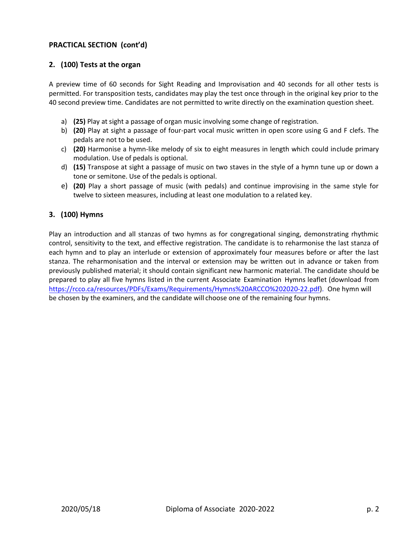# **PRACTICAL SECTION (cont'd)**

# **2. (100) Tests at the organ**

A preview time of 60 seconds for Sight Reading and Improvisation and 40 seconds for all other tests is permitted. For transposition tests, candidates may play the test once through in the original key prior to the 40 second preview time. Candidates are not permitted to write directly on the examination question sheet.

- a) **(25)** Play at sight a passage of organ music involving some change of registration.
- b) **(20)** Play at sight a passage of four-part vocal music written in open score using G and F clefs. The pedals are not to be used.
- c) **(20)** Harmonise a hymn-like melody of six to eight measures in length which could include primary modulation. Use of pedals is optional.
- d) **(15)** Transpose at sight a passage of music on two staves in the style of a hymn tune up or down a tone or semitone. Use of the pedals is optional.
- e) **(20)** Play a short passage of music (with pedals) and continue improvising in the same style for twelve to sixteen measures, including at least one modulation to a related key.

#### **3. (100) Hymns**

Play an introduction and all stanzas of two hymns as for congregational singing, demonstrating rhythmic control, sensitivity to the text, and effective registration. The candidate is to reharmonise the last stanza of each hymn and to play an interlude or extension of approximately four measures before or after the last stanza. The reharmonisation and the interval or extension may be written out in advance or taken from previously published material; it should contain significant new harmonic material. The candidate should be prepared to play all five hymns listed in the current Associate Examination Hymns leaflet (download from <https://rcco.ca/resources/PDFs/Exams/Requirements/Hymns%20ARCCO%202020-22.pdf>). One hymn will be chosen by the examiners, and the candidate will choose one of the remaining four hymns.